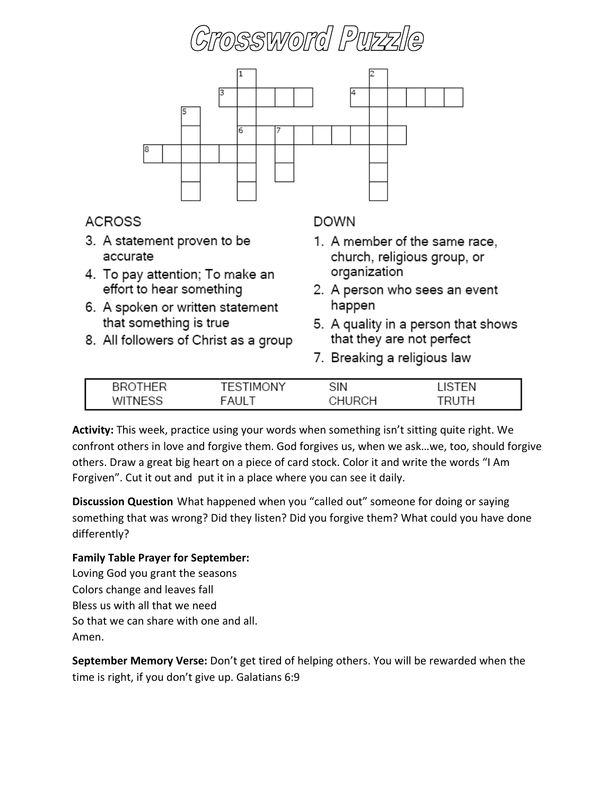



## **ACROSS**

- 3. A statement proven to be accurate
- 4. To pay attention; To make an effort to hear something
- 6. A spoken or written statement that something is true
- 8. All followers of Christ as a group

## **DOWN**

- 1. A member of the same race, church, religious group, or organization
- 2. A person who sees an event happen
- 5. A quality in a person that shows that they are not perfect
- 7. Breaking a religious law

| ∸ | ONY<br>FS<br>TMC. | SIN | ΈΝ |
|---|-------------------|-----|----|
|   | <b>FAILT</b>      | ∕∩⊔ | тн |

**Activity:** This week, practice using your words when something isn't sitting quite right. We confront others in love and forgive them. God forgives us, when we ask…we, too, should forgive others. Draw a great big heart on a piece of card stock. Color it and write the words "I Am Forgiven". Cut it out and put it in a place where you can see it daily.

**Discussion Question** What happened when you "called out" someone for doing or saying something that was wrong? Did they listen? Did you forgive them? What could you have done differently?

#### **Family Table Prayer for September:**

Loving God you grant the seasons Colors change and leaves fall Bless us with all that we need So that we can share with one and all. Amen.

**September Memory Verse:** Don't get tired of helping others. You will be rewarded when the time is right, if you don't give up. Galatians 6:9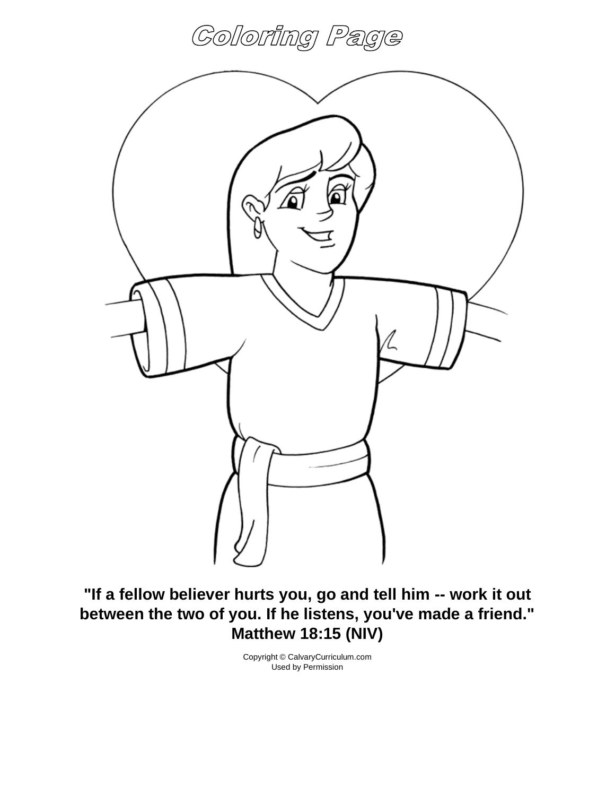



**"If a fellow believer hurts you, go and tell him -- work it out between the two of you. If he listens, you've made a friend." Matthew 18:15 (NIV)**

> Copyright © CalvaryCurriculum.com Used by Permission